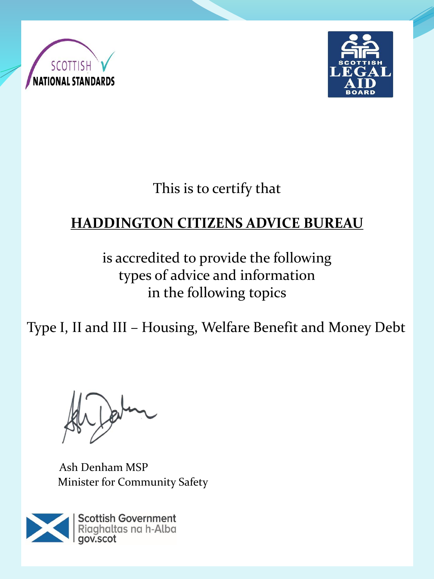



This is to certify that

# **HADDINGTON CITIZENS ADVICE BUREAU**

is accredited to provide the following types of advice and information in the following topics

Type I, II and III – Housing, Welfare Benefit and Money Debt

Ash Denham MSP Minister for Community Safety

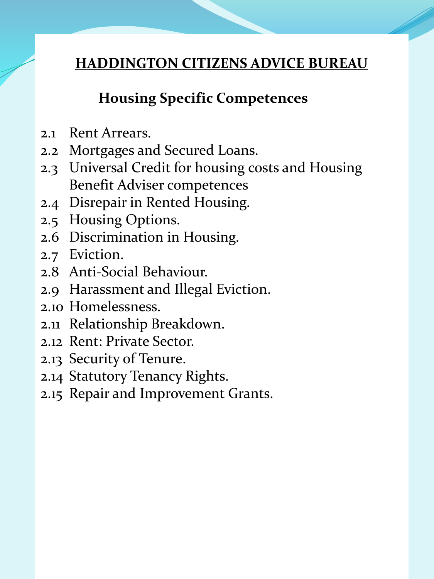## **Housing Specific Competences**

- 2.1 Rent Arrears.
- 2.2 Mortgages and Secured Loans.
- 2.3 Universal Credit for housing costs and Housing Benefit Adviser competences
- 2.4 Disrepair in Rented Housing.
- 2.5 Housing Options.
- 2.6 Discrimination in Housing.
- 2.7 Eviction.
- 2.8 Anti-Social Behaviour.
- 2.9 Harassment and Illegal Eviction.
- 2.10 Homelessness.
- 2.11 Relationship Breakdown.
- 2.12 Rent: Private Sector.
- 2.13 Security of Tenure.
- 2.14 Statutory Tenancy Rights.
- 2.15 Repair and Improvement Grants.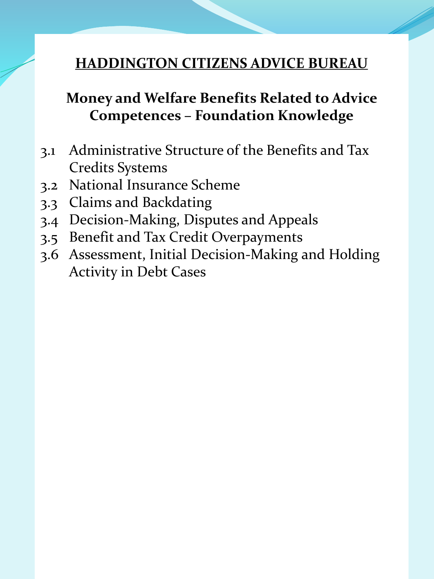#### **Money and Welfare Benefits Related to Advice Competences – Foundation Knowledge**

- 3.1 Administrative Structure of the Benefits and Tax Credits Systems
- 3.2 National Insurance Scheme
- 3.3 Claims and Backdating
- 3.4 Decision-Making, Disputes and Appeals
- 3.5 Benefit and Tax Credit Overpayments
- 3.6 Assessment, Initial Decision-Making and Holding Activity in Debt Cases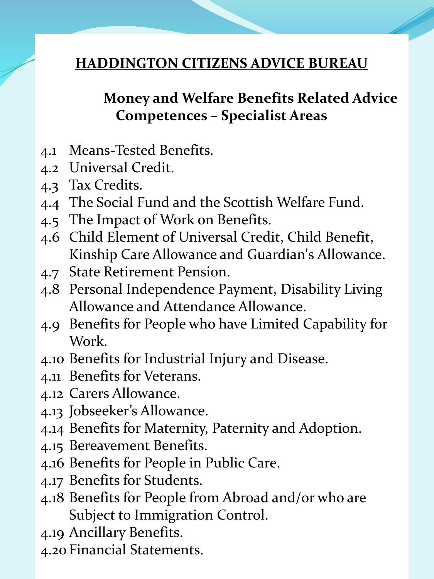## **Money and Welfare Benefits Related Advice Competences – Specialist Areas**

- 4.1 Means-Tested Benefits.
- 4.2 Universal Credit.
- 4.3 Tax Credits.
- 4.4 The Social Fund and the Scottish Welfare Fund.
- 4.5 The Impact of Work on Benefits.
- 4.6 Child Element of Universal Credit, Child Benefit, Kinship Care Allowance and Guardian's Allowance.
- 4.7 State Retirement Pension.
- 4.8 Personal Independence Payment, Disability Living Allowance and Attendance Allowance.
- 4.9 Benefits for People who have Limited Capability for Work.
- 4.10 Benefits for Industrial Injury and Disease.
- 4.11 Benefits for Veterans.
- 4.12 Carers Allowance.
- 4.13 Jobseeker's Allowance.
- 4.14 Benefits for Maternity, Paternity and Adoption.
- 4.15 Bereavement Benefits.
- 4.16 Benefits for People in Public Care.
- 4.17 Benefits for Students.
- 4.18 Benefits for People from Abroad and/or who are Subject to Immigration Control.
- 4.19 Ancillary Benefits.
- 4.20 Financial Statements.